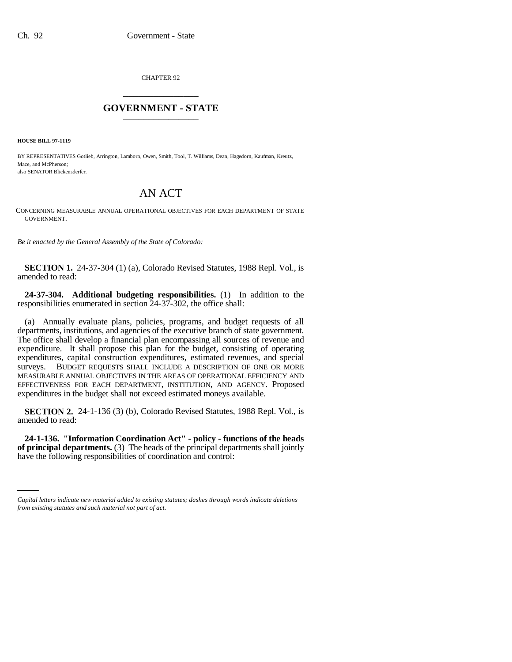CHAPTER 92 \_\_\_\_\_\_\_\_\_\_\_\_\_\_\_

## **GOVERNMENT - STATE** \_\_\_\_\_\_\_\_\_\_\_\_\_\_\_

**HOUSE BILL 97-1119**

BY REPRESENTATIVES Gotlieb, Arrington, Lamborn, Owen, Smith, Tool, T. Williams, Dean, Hagedorn, Kaufman, Kreutz, Mace, and McPherson; also SENATOR Blickensderfer.

## AN ACT

CONCERNING MEASURABLE ANNUAL OPERATIONAL OBJECTIVES FOR EACH DEPARTMENT OF STATE GOVERNMENT.

*Be it enacted by the General Assembly of the State of Colorado:*

**SECTION 1.** 24-37-304 (1) (a), Colorado Revised Statutes, 1988 Repl. Vol., is amended to read:

**24-37-304. Additional budgeting responsibilities.** (1) In addition to the responsibilities enumerated in section 24-37-302, the office shall:

(a) Annually evaluate plans, policies, programs, and budget requests of all departments, institutions, and agencies of the executive branch of state government. The office shall develop a financial plan encompassing all sources of revenue and expenditure. It shall propose this plan for the budget, consisting of operating expenditures, capital construction expenditures, estimated revenues, and special surveys. BUDGET REQUESTS SHALL INCLUDE A DESCRIPTION OF ONE OR MORE MEASURABLE ANNUAL OBJECTIVES IN THE AREAS OF OPERATIONAL EFFICIENCY AND EFFECTIVENESS FOR EACH DEPARTMENT, INSTITUTION, AND AGENCY. Proposed expenditures in the budget shall not exceed estimated moneys available.

**SECTION 2.** 24-1-136 (3) (b), Colorado Revised Statutes, 1988 Repl. Vol., is amended to read:

 **of principal departments.** (3) The heads of the principal departments shall jointly **24-1-136. "Information Coordination Act" - policy - functions of the heads** have the following responsibilities of coordination and control:

*Capital letters indicate new material added to existing statutes; dashes through words indicate deletions from existing statutes and such material not part of act.*